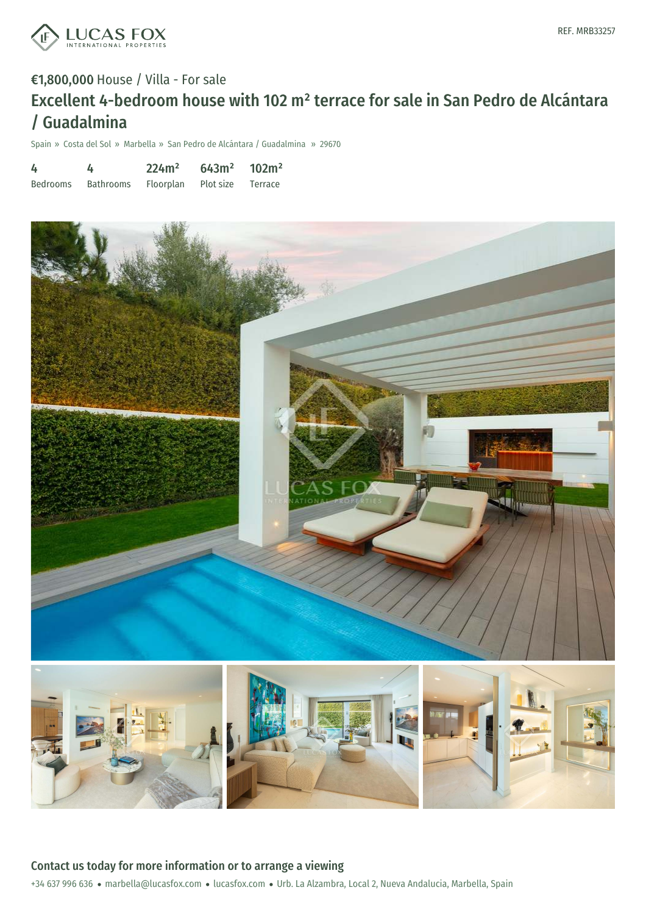

# €1,800,000 House / Villa - For sale Excellent 4-bedroom house with 102 m² terrace for sale in San Pedro de Alcántara / Guadalmina

Spain » Costa del Sol » Marbella » San Pedro de Alcántara / Guadalmina » 29670

| 4               |           | 224m <sup>2</sup> | 643m <sup>2</sup> | 102m <sup>2</sup> |
|-----------------|-----------|-------------------|-------------------|-------------------|
| <b>Bedrooms</b> | Bathrooms | Floorplan         | Plot size         | Terrace           |





### Contact us today for more information or to arrange a viewing

+34 637 996 636 · marbella@lucasfox.com · lucasfox.com · Urb. La Alzambra, Local 2, Nueva Andalucia, Marbella, Spain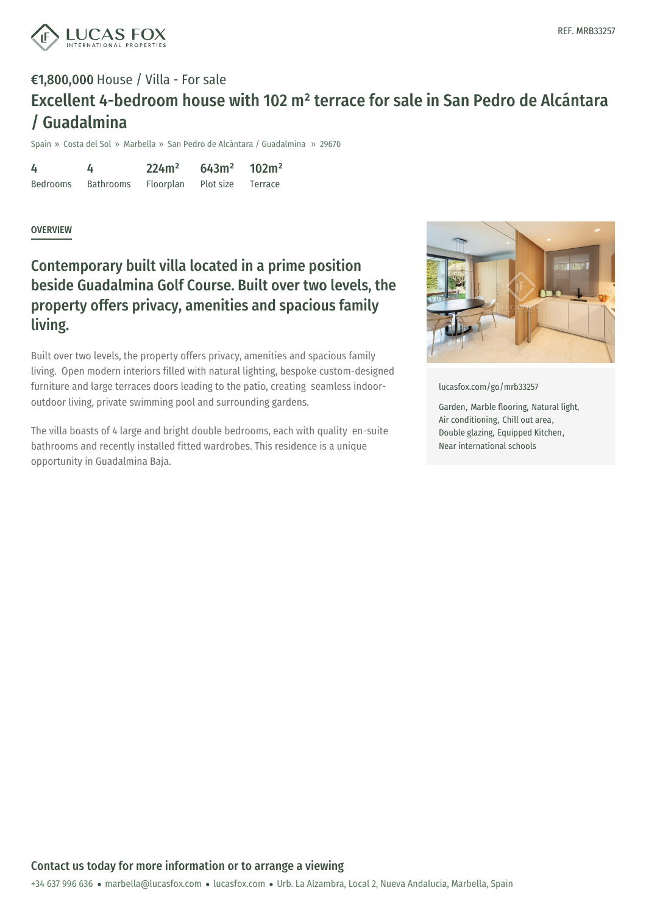

# €1,800,000 House / Villa - For sale Excellent 4-bedroom house with 102 m² terrace for sale in San Pedro de Alcántara / Guadalmina

Spain » Costa del Sol » Marbella » San Pedro de Alcántara / Guadalmina » 29670

4 Bedrooms 4 Bathrooms 224m² Floorplan 643m² Plot size 102m² Terrace

#### OVERVIEW

### Contemporary built villa located in a prime position beside Guadalmina Golf Course. Built over two levels, the property offers privacy, amenities and spacious family living.

Built over two levels, the property offers privacy, amenities and spacious family living. Open modern interiors filled with natural lighting, bespoke custom-designed furniture and large terraces doors leading to the patio, creating seamless indooroutdoor living, private swimming pool and surrounding gardens.

The villa boasts of 4 large and bright double bedrooms, each with quality en-suite bathrooms and recently installed fitted wardrobes. This residence is a unique opportunity in Guadalmina Baja.



[lucasfox.com/go/mrb33257](https://www.lucasfox.com/go/mrb33257)

Garden, Marble flooring, Natural light, Air conditioning, Chill out area, Double glazing, Equipped Kitchen, Near international schools